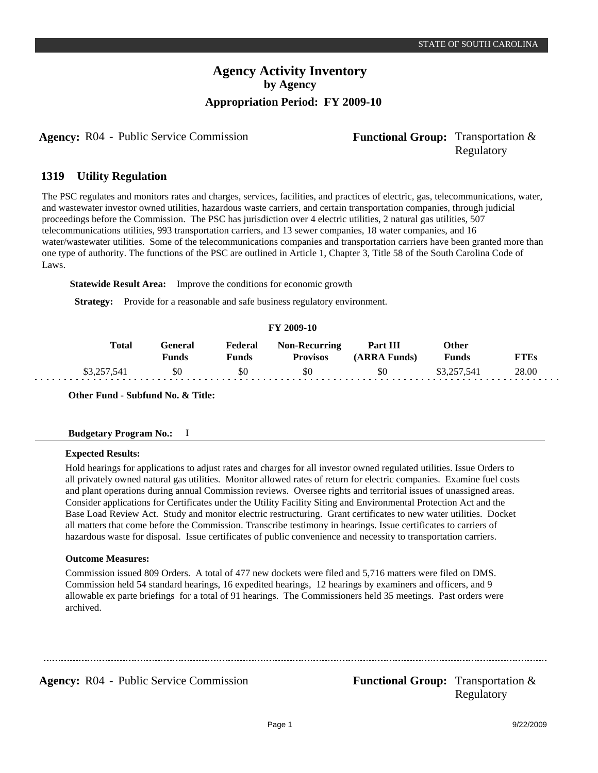## **Agency Activity Inventory by Agency Appropriation Period: FY 2009-10**

**Agency:** R04 - Public Service Commission **Functional Group:** Transportation &

# Regulatory

#### **Utility Regulation 1319**

The PSC regulates and monitors rates and charges, services, facilities, and practices of electric, gas, telecommunications, water, and wastewater investor owned utilities, hazardous waste carriers, and certain transportation companies, through judicial proceedings before the Commission. The PSC has jurisdiction over 4 electric utilities, 2 natural gas utilities, 507 telecommunications utilities, 993 transportation carriers, and 13 sewer companies, 18 water companies, and 16 water/wastewater utilities. Some of the telecommunications companies and transportation carriers have been granted more than one type of authority. The functions of the PSC are outlined in Article 1, Chapter 3, Title 58 of the South Carolina Code of Laws.

**Statewide Result Area:** Improve the conditions for economic growth

**Strategy:** Provide for a reasonable and safe business regulatory environment.

| FY 2009-10 |              |                  |                  |                                         |                          |                       |             |
|------------|--------------|------------------|------------------|-----------------------------------------|--------------------------|-----------------------|-------------|
|            | <b>Total</b> | General<br>Funds | Federal<br>Funds | <b>Non-Recurring</b><br><b>Provisos</b> | Part III<br>(ARRA Funds) | Other<br><b>Funds</b> | <b>FTEs</b> |
|            | \$3,257,541  | \$0              | -80              | \$0                                     | \$0                      | \$3.257.541           | 28.00       |

**Other Fund - Subfund No. & Title:**

## **Expected Results:**

Hold hearings for applications to adjust rates and charges for all investor owned regulated utilities. Issue Orders to all privately owned natural gas utilities. Monitor allowed rates of return for electric companies. Examine fuel costs and plant operations during annual Commission reviews. Oversee rights and territorial issues of unassigned areas. Consider applications for Certificates under the Utility Facility Siting and Environmental Protection Act and the Base Load Review Act. Study and monitor electric restructuring. Grant certificates to new water utilities. Docket all matters that come before the Commission. Transcribe testimony in hearings. Issue certificates to carriers of hazardous waste for disposal. Issue certificates of public convenience and necessity to transportation carriers.

## **Outcome Measures:**

Commission issued 809 Orders. A total of 477 new dockets were filed and 5,716 matters were filed on DMS. Commission held 54 standard hearings, 16 expedited hearings, 12 hearings by examiners and officers, and 9 allowable ex parte briefings for a total of 91 hearings. The Commissioners held 35 meetings. Past orders were archived.

**Agency:** R04 - Public Service Commission **Functional Group:** Transportation &

Regulatory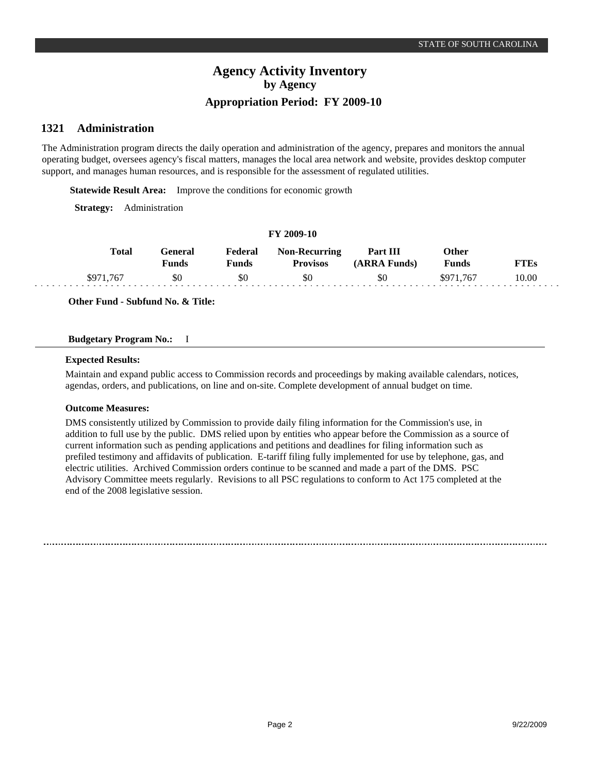## **Agency Activity Inventory by Agency Appropriation Period: FY 2009-10**

#### **Administration 1321**

The Administration program directs the daily operation and administration of the agency, prepares and monitors the annual operating budget, oversees agency's fiscal matters, manages the local area network and website, provides desktop computer support, and manages human resources, and is responsible for the assessment of regulated utilities.

**Statewide Result Area:** Improve the conditions for economic growth

**Strategy:** Administration

#### **FY 2009-10**

| Total     | General<br>Funds | Federal<br>Funds | <b>Non-Recurring</b><br><b>Provisos</b> | Part III<br>(ARRA Funds) | Other<br>Funds | `TEs  |
|-----------|------------------|------------------|-----------------------------------------|--------------------------|----------------|-------|
| \$971,767 | \$0              | \$0              | \$0                                     | \$0                      | \$971.767      | 10.00 |

**Other Fund - Subfund No. & Title:**

## **Budgetary Program No.:** I

#### **Expected Results:**

Maintain and expand public access to Commission records and proceedings by making available calendars, notices, agendas, orders, and publications, on line and on-site. Complete development of annual budget on time.

## **Outcome Measures:**

DMS consistently utilized by Commission to provide daily filing information for the Commission's use, in addition to full use by the public. DMS relied upon by entities who appear before the Commission as a source of current information such as pending applications and petitions and deadlines for filing information such as prefiled testimony and affidavits of publication. E-tariff filing fully implemented for use by telephone, gas, and electric utilities. Archived Commission orders continue to be scanned and made a part of the DMS. PSC Advisory Committee meets regularly. Revisions to all PSC regulations to conform to Act 175 completed at the end of the 2008 legislative session.